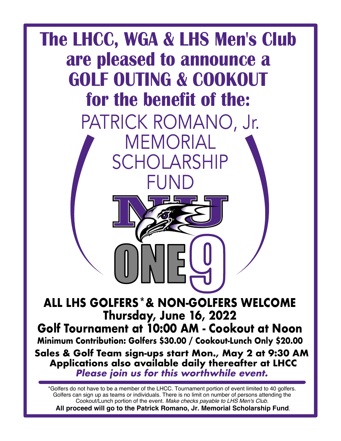

\*Golfers do not have to be a member of the LHCC. Tournament portion of event limited to 40 golfers. Golfers can sign up as teams or individuals. There is no limit on number of persons attending the Cookout/Lunch portion of the event. *Make checks payable to LHS Men's Club.* **All proceed will go to the Patrick Romano, Jr. Memorial Scholarship Fund**.